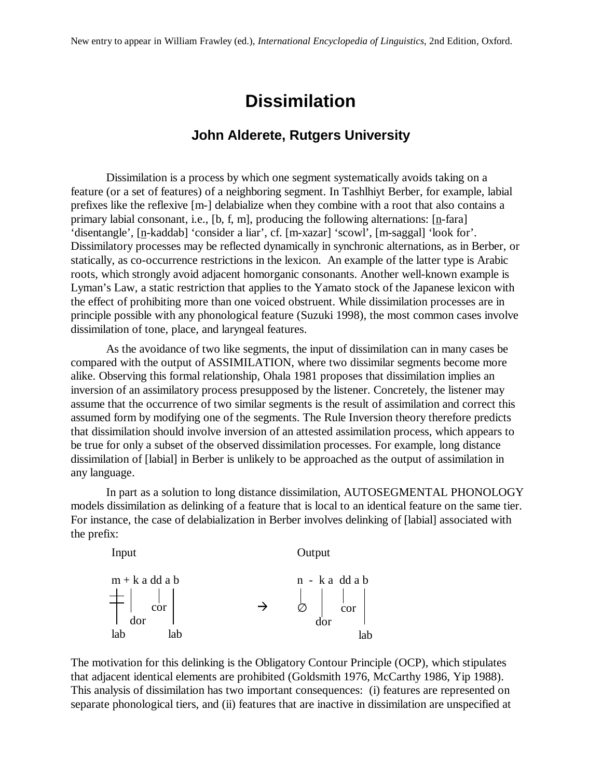## **Dissimilation**

## **John Alderete, Rutgers University**

Dissimilation is a process by which one segment systematically avoids taking on a feature (or a set of features) of a neighboring segment. In Tashlhiyt Berber, for example, labial prefixes like the reflexive [m-] delabialize when they combine with a root that also contains a primary labial consonant, i.e., [b, f, m], producing the following alternations:  $[n$ -fara] 'disentangle', [n-kaddab] 'consider a liar', cf. [m-xazar] 'scowl', [m-saggal] 'look for'. Dissimilatory processes may be reflected dynamically in synchronic alternations, as in Berber, or statically, as co-occurrence restrictions in the lexicon. An example of the latter type is Arabic roots, which strongly avoid adjacent homorganic consonants. Another well-known example is Lyman's Law, a static restriction that applies to the Yamato stock of the Japanese lexicon with the effect of prohibiting more than one voiced obstruent. While dissimilation processes are in principle possible with any phonological feature (Suzuki 1998), the most common cases involve dissimilation of tone, place, and laryngeal features.

As the avoidance of two like segments, the input of dissimilation can in many cases be compared with the output of ASSIMILATION, where two dissimilar segments become more alike. Observing this formal relationship, Ohala 1981 proposes that dissimilation implies an inversion of an assimilatory process presupposed by the listener. Concretely, the listener may assume that the occurrence of two similar segments is the result of assimilation and correct this assumed form by modifying one of the segments. The Rule Inversion theory therefore predicts that dissimilation should involve inversion of an attested assimilation process, which appears to be true for only a subset of the observed dissimilation processes. For example, long distance dissimilation of [labial] in Berber is unlikely to be approached as the output of assimilation in any language.

In part as a solution to long distance dissimilation, AUTOSEGMENTAL PHONOLOGY models dissimilation as delinking of a feature that is local to an identical feature on the same tier. For instance, the case of delabialization in Berber involves delinking of [labial] associated with the prefix:



The motivation for this delinking is the Obligatory Contour Principle (OCP), which stipulates that adjacent identical elements are prohibited (Goldsmith 1976, McCarthy 1986, Yip 1988). This analysis of dissimilation has two important consequences: (i) features are represented on separate phonological tiers, and (ii) features that are inactive in dissimilation are unspecified at